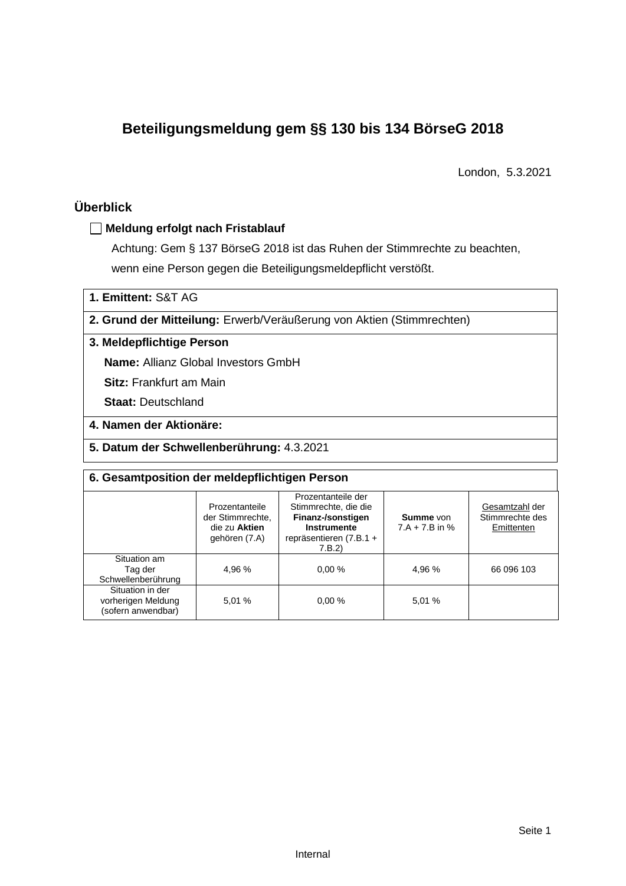# **Beteiligungsmeldung gem §§ 130 bis 134 BörseG 2018**

London, 5.3.2021

### **Überblick**

#### **Meldung erfolgt nach Fristablauf**

Achtung: Gem § 137 BörseG 2018 ist das Ruhen der Stimmrechte zu beachten, wenn eine Person gegen die Beteiligungsmeldepflicht verstößt.

**1. Emittent:** S&T AG

**2. Grund der Mitteilung:** Erwerb/Veräußerung von Aktien (Stimmrechten)

#### **3. Meldepflichtige Person**

**Name:** Allianz Global Investors GmbH

**Sitz:** Frankfurt am Main

**Staat:** Deutschland

#### **4. Namen der Aktionäre:**

**5. Datum der Schwellenberührung:** 4.3.2021

| 6. Gesamtposition der meldepflichtigen Person                |                                                                      |                                                                                                                             |                                      |                                                 |  |  |  |
|--------------------------------------------------------------|----------------------------------------------------------------------|-----------------------------------------------------------------------------------------------------------------------------|--------------------------------------|-------------------------------------------------|--|--|--|
|                                                              | Prozentanteile<br>der Stimmrechte.<br>die zu Aktien<br>gehören (7.A) | Prozentanteile der<br>Stimmrechte, die die<br>Finanz-/sonstigen<br><b>Instrumente</b><br>repräsentieren $(7.B.1 +$<br>7.B.2 | <b>Summe</b> von<br>$7.A + 7.B$ in % | Gesamtzahl der<br>Stimmrechte des<br>Emittenten |  |  |  |
| Situation am<br>Tag der<br>Schwellenberührung                | 4.96 %                                                               | 0.00%                                                                                                                       | 4.96 %                               | 66 096 103                                      |  |  |  |
| Situation in der<br>vorherigen Meldung<br>(sofern anwendbar) | 5.01 %                                                               | 0.00%                                                                                                                       | 5.01 %                               |                                                 |  |  |  |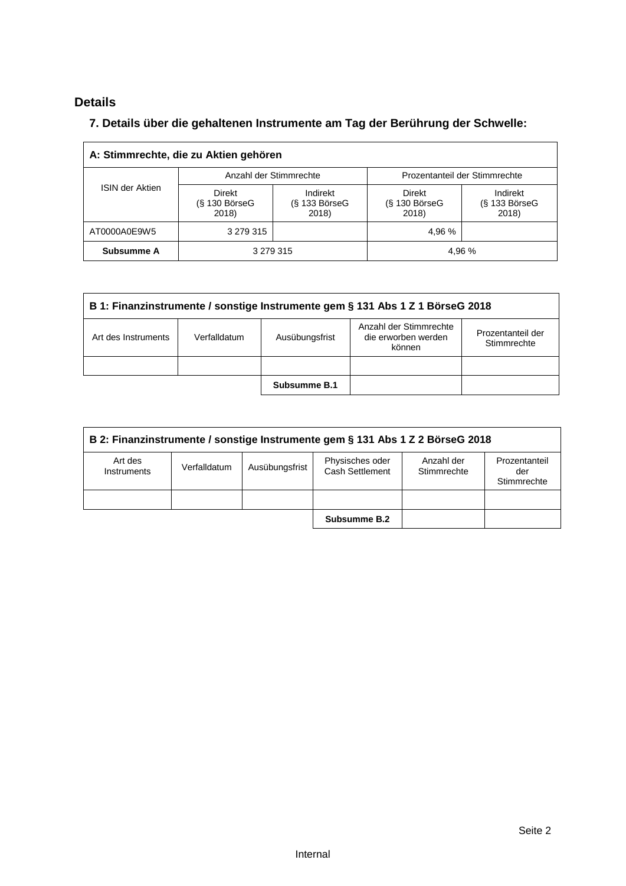### **Details**

### **7. Details über die gehaltenen Instrumente am Tag der Berührung der Schwelle:**

| A: Stimmrechte, die zu Aktien gehören |                                    |                                      |                                           |                                      |  |  |  |
|---------------------------------------|------------------------------------|--------------------------------------|-------------------------------------------|--------------------------------------|--|--|--|
|                                       | Anzahl der Stimmrechte             |                                      | Prozentanteil der Stimmrechte             |                                      |  |  |  |
| <b>ISIN der Aktien</b>                | Direkt<br>$(S$ 130 BörseG<br>2018) | Indirekt<br>$(S$ 133 BörseG<br>2018) | <b>Direkt</b><br>$(S$ 130 BörseG<br>2018) | Indirekt<br>$(S$ 133 BörseG<br>2018) |  |  |  |
| AT0000A0E9W5                          | 3 279 315                          |                                      | 4,96 %                                    |                                      |  |  |  |
| Subsumme A                            | 3 279 315<br>4,96 %                |                                      |                                           |                                      |  |  |  |

| B 1: Finanzinstrumente / sonstige Instrumente gem § 131 Abs 1 Z 1 BörseG 2018                                                                        |  |  |  |  |  |  |  |
|------------------------------------------------------------------------------------------------------------------------------------------------------|--|--|--|--|--|--|--|
| Anzahl der Stimmrechte<br>Prozentanteil der<br>Ausübungsfrist<br>die erworben werden<br>Art des Instruments<br>Verfalldatum<br>Stimmrechte<br>können |  |  |  |  |  |  |  |
|                                                                                                                                                      |  |  |  |  |  |  |  |
| Subsumme B.1                                                                                                                                         |  |  |  |  |  |  |  |

| B 2: Finanzinstrumente / sonstige Instrumente gem § 131 Abs 1 Z 2 BörseG 2018 |              |                |                                    |                           |                                     |  |  |
|-------------------------------------------------------------------------------|--------------|----------------|------------------------------------|---------------------------|-------------------------------------|--|--|
| Art des<br>Instruments                                                        | Verfalldatum | Ausübungsfrist | Physisches oder<br>Cash Settlement | Anzahl der<br>Stimmrechte | Prozentanteil<br>der<br>Stimmrechte |  |  |
|                                                                               |              |                |                                    |                           |                                     |  |  |
|                                                                               |              |                | Subsumme B.2                       |                           |                                     |  |  |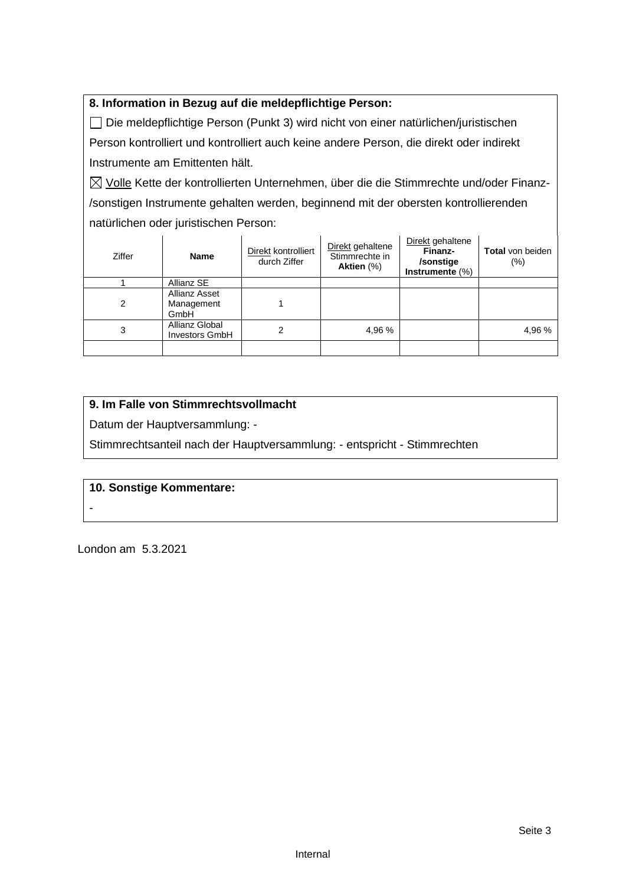#### **8. Information in Bezug auf die meldepflichtige Person:**

Die meldepflichtige Person (Punkt 3) wird nicht von einer natürlichen/juristischen Person kontrolliert und kontrolliert auch keine andere Person, die direkt oder indirekt Instrumente am Emittenten hält.

 $\boxtimes$  Volle Kette der kontrollierten Unternehmen, über die die Stimmrechte und/oder Finanz-/sonstigen Instrumente gehalten werden, beginnend mit der obersten kontrollierenden natürlichen oder juristischen Person:

| Ziffer | <b>Name</b>                                | Direkt kontrolliert<br>durch Ziffer | Direkt gehaltene<br>Stimmrechte in<br>Aktien (%) | Direkt gehaltene<br>Finanz-<br>/sonstige<br>Instrumente $(\%)$ | <b>Total</b> von beiden<br>$(\%)$ |
|--------|--------------------------------------------|-------------------------------------|--------------------------------------------------|----------------------------------------------------------------|-----------------------------------|
|        | Allianz SE                                 |                                     |                                                  |                                                                |                                   |
| 2      | <b>Allianz Asset</b><br>Management<br>GmbH |                                     |                                                  |                                                                |                                   |
| 3      | Allianz Global<br><b>Investors GmbH</b>    | 2                                   | 4,96 %                                           |                                                                | 4,96 %                            |
|        |                                            |                                     |                                                  |                                                                |                                   |

#### **9. Im Falle von Stimmrechtsvollmacht**

Datum der Hauptversammlung: -

Stimmrechtsanteil nach der Hauptversammlung: - entspricht - Stimmrechten

#### **10. Sonstige Kommentare:**

-

London am 5.3.2021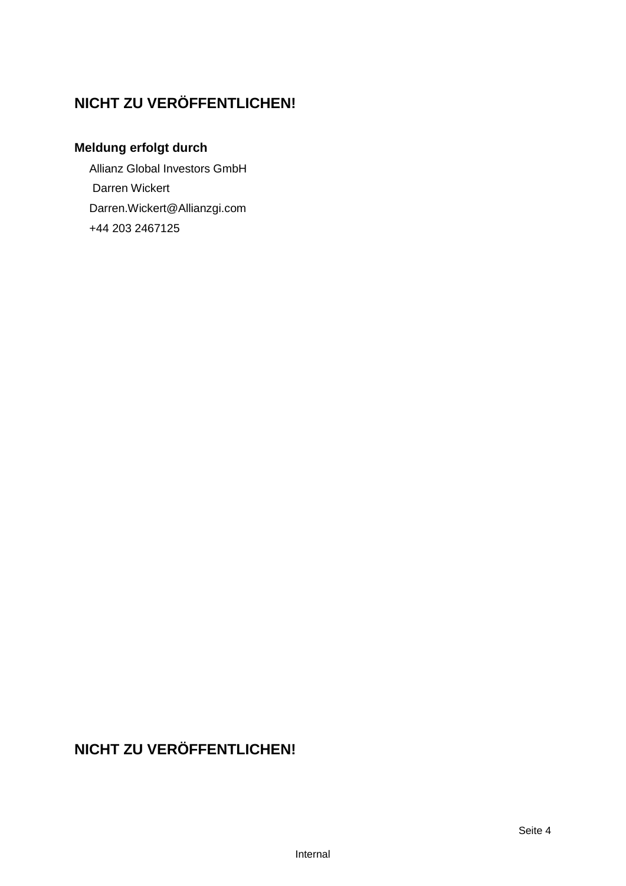# **NICHT ZU VERÖFFENTLICHEN!**

## **Meldung erfolgt durch**

Allianz Global Investors GmbH Darren Wickert Darren.Wickert@Allianzgi.com +44 203 2467125

# **NICHT ZU VERÖFFENTLICHEN!**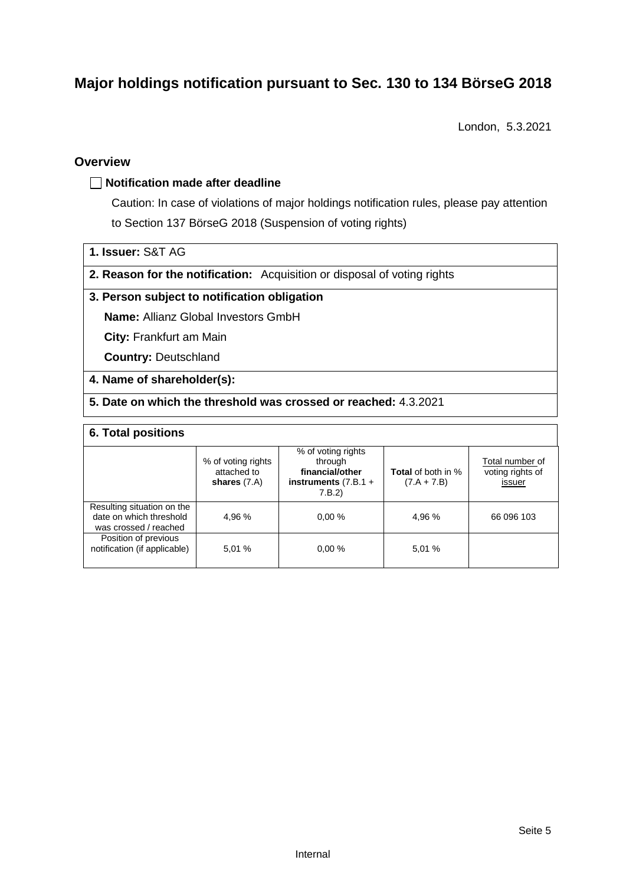# **Major holdings notification pursuant to Sec. 130 to 134 BörseG 2018**

London, 5.3.2021

#### **Overview**

#### **Notification made after deadline**

Caution: In case of violations of major holdings notification rules, please pay attention to Section 137 BörseG 2018 (Suspension of voting rights)

- **1. Issuer:** S&T AG
- **2. Reason for the notification:** Acquisition or disposal of voting rights

#### **3. Person subject to notification obligation**

**Name:** Allianz Global Investors GmbH

**City:** Frankfurt am Main

**Country:** Deutschland

#### **4. Name of shareholder(s):**

**5. Date on which the threshold was crossed or reached:** 4.3.2021

#### **6. Total positions**

|                                                                                | % of voting rights<br>attached to<br>shares $(7.A)$ | % of voting rights<br>through<br>financial/other<br>instruments $(7.B.1 +$<br>7.B.2 | <b>Total</b> of both in %<br>$(7.A + 7.B)$ | Total number of<br>voting rights of<br>issuer |
|--------------------------------------------------------------------------------|-----------------------------------------------------|-------------------------------------------------------------------------------------|--------------------------------------------|-----------------------------------------------|
| Resulting situation on the<br>date on which threshold<br>was crossed / reached | 4.96%                                               | 0.00%                                                                               | 4.96 %                                     | 66 096 103                                    |
| Position of previous<br>notification (if applicable)                           | 5.01 %                                              | 0.00%                                                                               | 5,01 %                                     |                                               |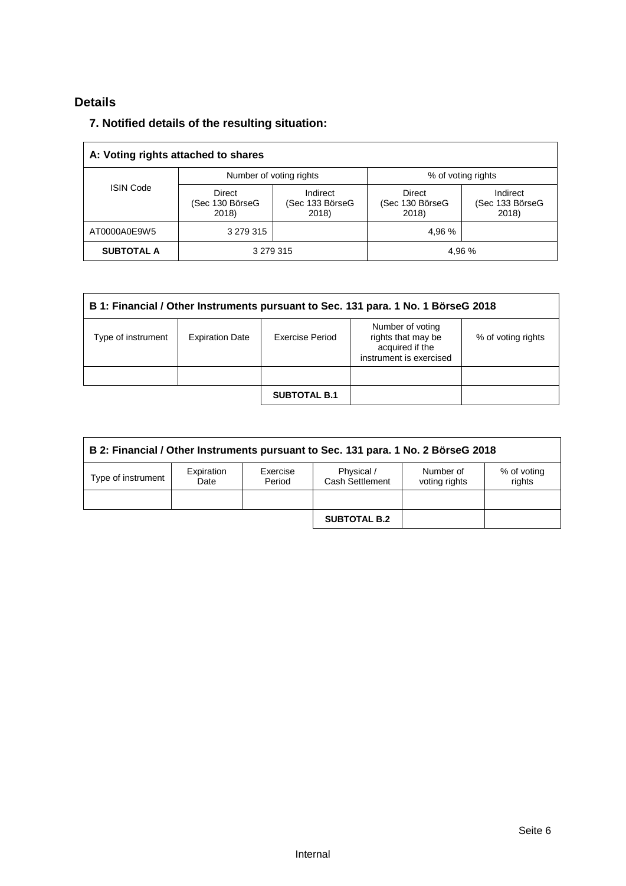### **Details**

### **7. Notified details of the resulting situation:**

| A: Voting rights attached to shares |                                    |                                      |                                           |                                      |  |  |  |
|-------------------------------------|------------------------------------|--------------------------------------|-------------------------------------------|--------------------------------------|--|--|--|
|                                     | Number of voting rights            |                                      | % of voting rights                        |                                      |  |  |  |
| <b>ISIN Code</b>                    | Direct<br>(Sec 130 BörseG<br>2018) | Indirect<br>(Sec 133 BörseG<br>2018) | <b>Direct</b><br>(Sec 130 BörseG<br>2018) | Indirect<br>(Sec 133 BörseG<br>2018) |  |  |  |
| AT0000A0E9W5                        | 3 279 315                          |                                      | 4,96 %                                    |                                      |  |  |  |
| <b>SUBTOTAL A</b>                   | 3 279 315<br>4,96 %                |                                      |                                           |                                      |  |  |  |

| B 1: Financial / Other Instruments pursuant to Sec. 131 para. 1 No. 1 BörseG 2018 |                        |                     |                                                                                      |                    |  |  |
|-----------------------------------------------------------------------------------|------------------------|---------------------|--------------------------------------------------------------------------------------|--------------------|--|--|
| Type of instrument                                                                | <b>Expiration Date</b> | Exercise Period     | Number of voting<br>rights that may be<br>acquired if the<br>instrument is exercised | % of voting rights |  |  |
|                                                                                   |                        |                     |                                                                                      |                    |  |  |
|                                                                                   |                        | <b>SUBTOTAL B.1</b> |                                                                                      |                    |  |  |

| B 2: Financial / Other Instruments pursuant to Sec. 131 para. 1 No. 2 BörseG 2018 |                    |                    |                               |                            |                       |  |  |
|-----------------------------------------------------------------------------------|--------------------|--------------------|-------------------------------|----------------------------|-----------------------|--|--|
| Type of instrument                                                                | Expiration<br>Date | Exercise<br>Period | Physical /<br>Cash Settlement | Number of<br>voting rights | % of voting<br>rights |  |  |
|                                                                                   |                    |                    |                               |                            |                       |  |  |
|                                                                                   |                    |                    | <b>SUBTOTAL B.2</b>           |                            |                       |  |  |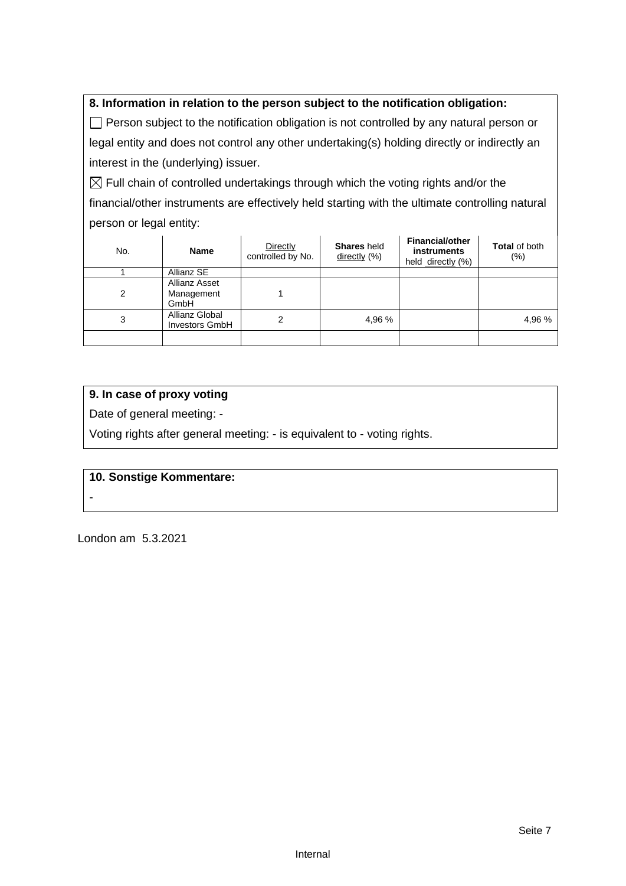#### **8. Information in relation to the person subject to the notification obligation:**

 $\Box$  Person subject to the notification obligation is not controlled by any natural person or legal entity and does not control any other undertaking(s) holding directly or indirectly an interest in the (underlying) issuer.

 $\boxtimes$  Full chain of controlled undertakings through which the voting rights and/or the financial/other instruments are effectively held starting with the ultimate controlling natural person or legal entity:

| No. | <b>Name</b>                                | Directly<br>controlled by No. | <b>Shares</b> held<br>directly (%) | <b>Financial/other</b><br>instruments<br>held directly (%) | <b>Total of both</b><br>$(\% )$ |
|-----|--------------------------------------------|-------------------------------|------------------------------------|------------------------------------------------------------|---------------------------------|
|     | Allianz SE                                 |                               |                                    |                                                            |                                 |
| 2   | <b>Allianz Asset</b><br>Management<br>GmbH |                               |                                    |                                                            |                                 |
| 3   | Allianz Global<br><b>Investors GmbH</b>    | 2                             | 4,96 %                             |                                                            | 4,96 %                          |
|     |                                            |                               |                                    |                                                            |                                 |

#### **9. In case of proxy voting**

Date of general meeting: -

Voting rights after general meeting: - is equivalent to - voting rights.

#### **10. Sonstige Kommentare:**

London am 5.3.2021

-